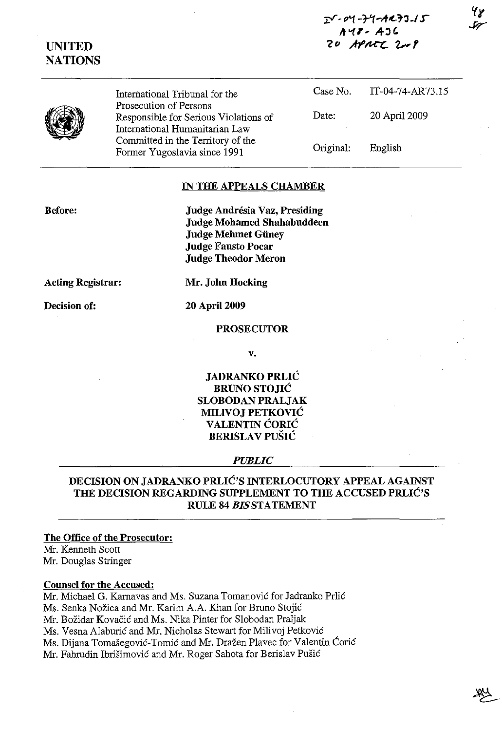| $2V - 04 - 74 - 40 - 3 - 15$ |               |
|------------------------------|---------------|
| $A48 - A36$                  |               |
|                              | 20 APATE 2009 |



**UNITED NATIONS** 

> International Tribunal for the Prosecution of Persons Responsible for Serious Violations of International Humanitarian Law Committed in the Territory of the Former Yugoslavia since 1991

Case No. Date: Original: IT-04-74-AR73.15 20 April 2009 English

### **IN THE APPEALS CHAMBER**

**Before:** 

**Judge Andresia Vaz, Presiding Judge Mohamed Shahabuddeen Judge Mehmet Giiney Judge Fausto Pocar Judge Theodor Meron** 

**Acting Registrar: Mr. John Hocking** 

**Decision of: 20 April 2009** 

#### **PROSECUTOR**

v.

**JADRANKO PRLIC BRUNO STOJIC SLOBODAN PRALJAK MILlVOJ PETKOVIC VALENTIN CORIC BERISLA V PUSIC** 

#### *PUBLIC*

## **DECISION ON JADRANKO PRLIC'S INTERLOCUTORY APPEAL AGAINST THE DECISION REGARDING SUPPLEMENT TO THE ACCUSED PRLIC'S**  RULE *84BISSTATEMENT*

### **The Office of the Prosecutor:**

Mr. Kenneth Scott Mr. Douglas Stringer

#### **Counsel for the Accused:**

Mr. Michael G. Karnavas and Ms. Suzana Tomanović for Jadranko Prlić Ms. Senka Nožica and Mr. Karim A.A. Khan for Bruno Stojić Mr. Božidar Kovačić and Ms. Nika Pinter for Slobodan Praljak Ms. Vesna Alaburić and Mr. Nicholas Stewart for Milivoj Petković Ms. Dijana Tomašegović-Tomić and Mr. Dražen Plavec for Valentin Ćorić Mr. Fahrudin Ibrišimović and Mr. Roger Sahota for Berislav Pušić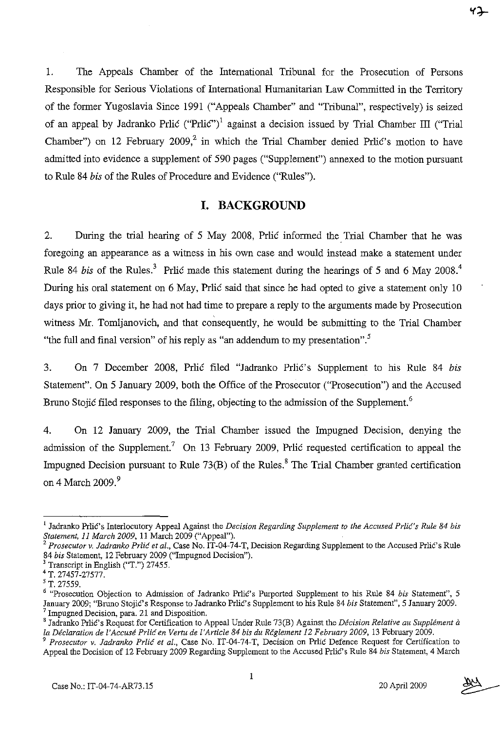1. The Appeals Chamber of the International Tribunal for the Prosecution of Persons Responsible for Serious Violations of International Humanitarian Law Committed in the Territory of the former Yugoslavia Since 1991 ("Appeals Chamber" and "Tribunal", respectively) is seized of an appeal by Jadranko Prlic ("Prlic")<sup>1</sup> against a decision issued by Trial Chamber III ("Trial Chamber") on 12 February 2009,<sup>2</sup> in which the Trial Chamber denied Prlic's motion to have admitted into evidence a supplement of 590 pages ("Supplement") annexed to the motion pursuant to Rule 84 *bis* of tbe Rules of Procedure and Evidence ("Rules").

# **I. BACKGROUND**

2. During the trial hearing of 5 May 2008, Prlic informed the Trial Chamber that he was foregoing an appearance as a witness in his own case and would instead make a statement under Rule 84 *bis* of the Rules.<sup>3</sup> Prlic made this statement during the hearings of 5 and 6 May 2008.<sup>4</sup> During his oral statement on 6 May, Prlic said that since he had opted to give a statement only 10 days prior to giving it, he had not had time to prepare a reply to the arguments made by Prosecution witness Mr. Tomljanovich, and that consequently, he would be submitting to the Trial Chamber "the full and final version" of his reply as "an addendum to my presentation".<sup>5</sup>

3. On 7 December 2008, Prlić filed "Jadranko Prlić's Supplement to his Rule 84 *bis* Statement". On 5 January 2009, both the Office of the Prosecutor ("Prosecution") and the Accused Bruno Stojic filed responses to the filing, objecting to the admission of the Supplement.<sup>6</sup>

4. On 12 January 2009, the Trial Chamber issued tbe hnpugned Decision, denying the admission of the Supplement.<sup>7</sup> On 13 February 2009, Prlic requested certification to appeal the Impugned Decision pursuant to Rule  $73(B)$  of the Rules.<sup>8</sup> The Trial Chamber granted certification on 4 March 2009.<sup>9</sup>



<sup>1</sup> Jadranko Prlic's Interlocutory Appeal Against the *Decision Regarding Supplement to the Accused Prlic's Rule* 84 *bis Statement. II March 2009,* 11 March 2009 ("Appeal").

<sup>2</sup> *Prosecutor v. ladranko Prlic et* 01., Case No. IT-04-74-T, Decision Regarding Supplement to the Accused Prlic's Rille *84 bis* Statement, 12 February 2009 ("Impugned Decision").

Transcript in English ("T.") 27455.

<sup>4</sup> T. 27457-27577.

<sup>5</sup> T. 27559.

<sup>&</sup>lt;sup>6</sup> "Prosecution Objection to Admission of Jadranko Prlic's Purported Supplement to his Rule 84 *bis* Statement", 5 January 2009; "Bruno StojiC's Response to Jadranko PrliC's Supplement to his Rille 84 *bis* Statement", 5 January 2009. Impugned Decision, para. 21 and Disposition.

S Jadranko PrliC's Request for Certification to Appeal Under Rille 73(B) Against the *Decision Relative au Supplement a la Declaration de l'Accuse Prlic en Vertu de l'Article* 84 *bis du Reglement 12 February 2009,* 13 February 2009.

<sup>&</sup>lt;sup>9</sup> Prosecutor v. Jadranko Prlić et al., Case No. IT-04-74-T, Decision on Prlić Defence Request for Certification to Appeal the Decision of 12 February 2009 Regarding Supplement to the Accused Prlic's Rule 84 *bis* Statement, 4 March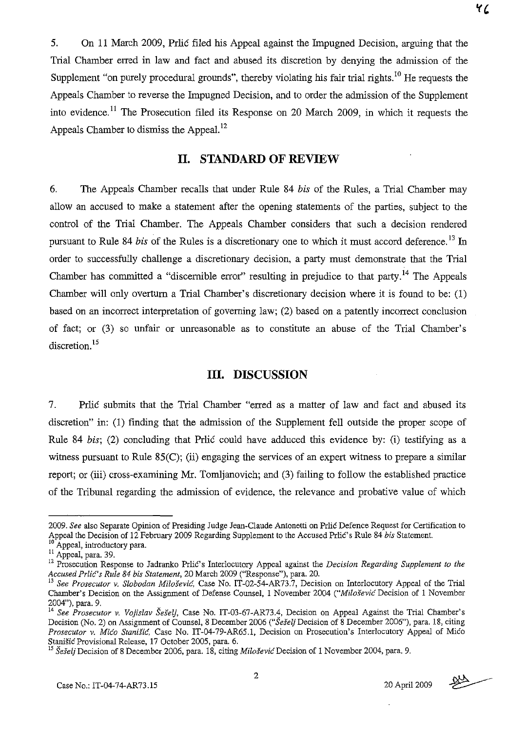5. On 11 March 2009, Prlic filed his Appeal against the Impugned Decision, arguing that the Trial Chamber erred in law and fact and abused its discretion by denying the admission of the Supplement "on purely procedural grounds", thereby violating his fair trial rights.<sup>10</sup> He requests the Appeals Chamber to reverse the Impugned Decision, and to order the admission of the Supplement into evidence.<sup>11</sup> The Prosecution filed its Response on 20 March 2009, in which it requests the Appeals Chamber to dismiss the Appeal.<sup>12</sup>

# **II. STANDARD OF REVIEW**

6. The Appeals Chamber recalls that under Rule 84 *bis* of the Rules, a Trial Chamber may allow an accused to make a statement after the opening statements of the parties, subject to the control of the Trial Chamber. The Appeals Chamber considers that such a decision rendered pursuant to Rule 84 *bis* of the Rules is a discretionary one to which it must accord deference.<sup>13</sup> In order to successfully challenge a discretionary decision, a party must demonstrate that the Trial Chamber has committed a "discernible error" resulting in prejudice to that party.<sup>14</sup> The Appeals Chamber will only overturn a Trial Chamber's discretionary decision where it is found to be: (1) based on an incorrect interpretation of governing law; (2) based on a patently incorrect conclusion of fact; or (3) so unfair or unreasonable as to constitute an abuse of the Trial Chamber's discretion.<sup>15</sup>

## **III. DISCUSSION**

7. Priic submits that the Trial Chamber "erred as a matter of law and fact and abused its discretion" in: (1) finding that the admission of the Supplement fell outside the proper scope of Rule 84 *bis*; (2) concluding that Prlic could have adduced this evidence by: (i) testifying as a witness pursuant to Rule 85(C); (ii) engaging the services of an expert witness to prepare a similar report; or (iii) cross-examining Mr. Tomljanovich; and (3) failing to follow the established practice of the Tribunal regarding the admission of evidence, the relevance and probative value of which

*<sup>2009.</sup> See* also Separate Opinion of Presiding Judge Jean-Claude Antonetti on Prlic Defence Request for Certification to Appeal the Decision of 12 February 2009 Regarding Supplement to the Accused Prlic's Rule 84 *bis* Statement.

Appeal, introductory para.

 $\frac{11 \text{ A}}{\text{A}}$  Appeal, para. 39.

<sup>12</sup> Prosecution Response to Jadranko Prlic's Interlocutory Appeal against the *Decision Regarding Supplement to the Accused Prlic's Rule* 84 *bis Statement,* 20 March 2009 ("Response"), para. 20.

<sup>13</sup>*See Prosecutor v. Slobodan Milosevic,* Case No. IT-02-54-AR73.7, Decision on Interlocutory Appeal of lbe Trial Chamber's Decision on the Assignment of Defense Counsel, 1 November 2004 *("Milosevic* Decision of 1 November 2004"), para. 9.

<sup>&</sup>lt;sup>14</sup> See Prosecutor v. Vojislav Šešelj, Case No. IT-03-67-AR73.4, Decision on Appeal Against the Trial Chamber's Decision (No. 2) on Assignment of Counsel, 8 December 2006 ("Šešelj Decision of 8 December 2006"), para. 18, citing *Prosecutor v. Mica Stanisic,* Case No. IT-04-79-AR65.1, Decision on Prosecution's Interlocutory Appeal of Mico Stanišić Provisional Release, 17 October 2005, para. 6.

*<sup>15</sup> Se:felj* Decision of 8 December 2006, para. 18, citing *Milosevic* Decision of 1 November 2004, para. 9.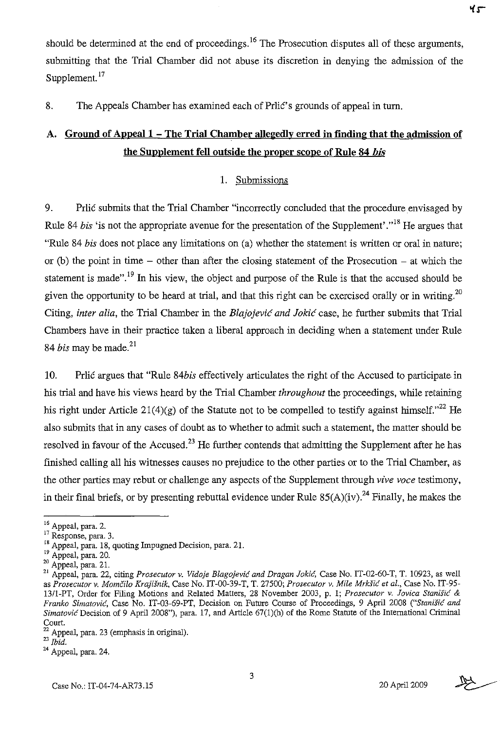should be determined at the end of proceedings.<sup>16</sup> The Prosecution disputes all of these arguments, submitting that the Trial Chamber did not abuse its discretion in denying the admission of the Supplement.<sup>17</sup>

8. The Appeals Chamber has examined each of Prlic's grounds of appeal in turn.

# A. Ground of Appeal 1 – The Trial Chamber allegedly erred in finding that the admission of **the Supplement fell outside the proper scope of Rule 84** *bis*

### 1. Submissions

9. Prlie submits that the **Trial** Chamber "incorrectly concluded that the procedure envisaged by Rule 84 *bis* 'is not the appropriate avenue for the presentation of the Supplement'.<sup>18</sup> He argues that "Rule 84 *bis* does not place any limitations on (a) whether the statement is written or oral in nature; or (b) the point in time  $-$  other than after the closing statement of the Prosecution  $-$  at which the statement is made".<sup>19</sup> In his view, the object and purpose of the Rule is that the accused should be given the opportunity to be heard at trial, and that this right can be exercised orally or in writing.<sup>20</sup> Citing, *inter alia*, the Trial Chamber in the *Blajojević and Jokić* case, he further submits that Trial Chambers have in their practice taken a liberal approach in deciding when a statement under Rule 84 *bis* may be made.<sup>21</sup>

10. Prlie argues that "Rule *84bis* effectively articulates the right of the Accused to participate in his trial and have his views heard by the Trial Chamber *throughout* the proceedings, while retaining his right under Article 21(4)(g) of the Statute not to be compelled to testify against himself.<sup>32</sup> He also submits that in any cases of doubt as to whether to admit such a statement, the matter should be resolved in favour of the Accused.<sup>23</sup> He further contends that admitting the Supplement after he has finished calling all his witnesses causes no prejudice to the other parties or to the Trial Chamber, as the other parties may rebut or challenge any aspects of the Supplement through *vive voce* testimony, in their final briefs, or by presenting rebuttal evidence under Rule  $85(A)(iv)$ <sup>24</sup> Finally, he makes the



<sup>&</sup>lt;sup>16</sup> Appeal, para. 2.

<sup>&</sup>lt;sup>17</sup> Response, para. 3.

<sup>18</sup> Appeal, para. 18, quoting Impugned Decision, para. 21.

<sup>19</sup> Appeal, para. 20.

<sup>20</sup> Appeal, para. 21.

<sup>&</sup>lt;sup>21</sup> Appeal, para. 22, citing *Prosecutor v. Vidoje Blagojević and Dragan Jokić*, Case No. IT-02-60-T, T. 10923, as well as Prosecutor v. Momčilo Krajišnik, Case No. IT-00-39-T, T. 27500; Prosecutor v. Mile Mrkšić et al., Case No. IT-95-1311-PT, Order for Filing Motions and Related Matters, 28 November 2003, p. 1; *Prosecutor* v. *Jovica Stanisie* & *Franko Simatovie,* Case No. IT-03-69-PT, Decision on Future Course of Proceedings, 9 April 2008 *("Stanisie and Simatović* Decision of 9 April 2008"), para. 17, and Article 67(1)(h) of the Rome Statute of the International Criminal Court.

 $22$  Appeal, para. 23 (emphasis in original).

<sup>23</sup>*Ibid.* 

<sup>24</sup> Appeal, para. 24.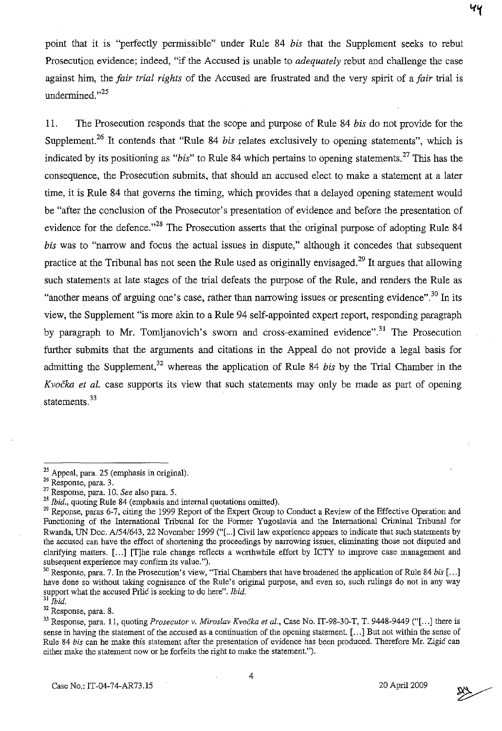point that it is "perfectly permissible" under Rule 84 *bis* that the Supplement seeks to rebut Prosecution evidence; indeed, "if the Accused is unable to *adequately* rebut and challenge the case against him, tbe *fair trial rights* of the Accused are frustrated and tbe very spirit of a *fair* trial is undermined. $v<sup>25</sup>$ 

11. The Prosecution responds tbat the scope and purpose of Rule 84 *his* do not provide for the Supplement.<sup>26</sup> It contends that "Rule 84 *bis* relates exclusively to opening statements", which is indicated by its positioning as "*bis*" to Rule 84 which pertains to opening statements.<sup>27</sup> This has the consequence, the Prosecution submits, that should an accused elect to make a statement at a later time, it is Rule 84 that governs the timing, which provides that a delayed opening statement would be "after the conclusion of the Prosecutor's presentation of evidence and before the presentation of evidence for the defence."<sup>28</sup> The Prosecution asserts that the original purpose of adopting Rule 84 *his* was to "narrow and focus the actual issues in dispute," although it concedes that subsequent practice at the Tribunal has not seen the Rule used as originally envisaged.<sup>29</sup> It argues that allowing such statements at late stages of the trial defeats the purpose of the Rule, and renders the Rule as "another means of arguing one's case, rather than narrowing issues or presenting evidence".<sup>30</sup> In its view, the Supplement "is more akin to a Rule 94 self-appointed expert report, responding paragraph by paragraph to Mr. Tomljanovich's sworn and cross-examined evidence".<sup>31</sup> The Prosecution furtber submits tbat tbe arguments and citations in the Appeal do not provide a legal basis for admitting the Supplement,<sup>32</sup> whereas the application of Rule 84 *bis* by the Trial Chamber in the *Kvočka et al.* case supports its view that such statements may only be made as part of opening statements.<sup>33</sup>



<sup>&</sup>lt;sup>25</sup> Appeal, para. 25 (emphasis in original).

<sup>&</sup>lt;sup>26</sup> Response, para. 3.

<sup>27</sup> Response, para. 10. *See* also para. 5.

<sup>&</sup>lt;sup>28</sup> *Ibid.*, quoting Rule 84 (emphasis and internal quotations omitted).

<sup>&</sup>lt;sup>29</sup> Reponse, paras 6-7, citing the 1999 Report of the Expert Group to Conduct a Review of the Effective Operation and Functioning of the International Tribunal for the Former Yugoslavia and the International Criminal Tribunal for Rwanda, UN Doc. A/54/643, 22 November 1999 ("[...] Civil law experience appears to indicate that such statements by the accused can have the effect of shortening the proceedings by narrowing issues, eliminating those not disputed and clarifying matters. [...] [T]he rule change reflects a worthwhile effort by ICTY to improve case management and subsequent experience may confirm its value.").

<sup>30</sup> Response, para. 7. In the Prosecution's view, "Trial Chambers that have broadened the application of Rule 84 *bis* [ ... ] have done so without taking cognisance of the Rule's original purpose, and even so, such rulings do not in any way support what the accused Prlic is seeking to do here". *Ibid.* 

*<sup>31</sup> Ibid.* 

**<sup>32</sup> Response, para. 8.** 

<sup>&</sup>lt;sup>33</sup> Response, para. 11, quoting *Prosecutor v. Miroslav Kvočka et al.*, Case No. IT-98-30-T, T. 9448-9449 ("[...] there is sense in having the statement of the accused as a continuation of the opening statement. [ ... ] But not within the sense of Rule 84 *bis* can he make this statement after the presentation of evidence has been produced. Therefore Mr. Zigic can either make the statement now or he forfeits the right to make the statement.").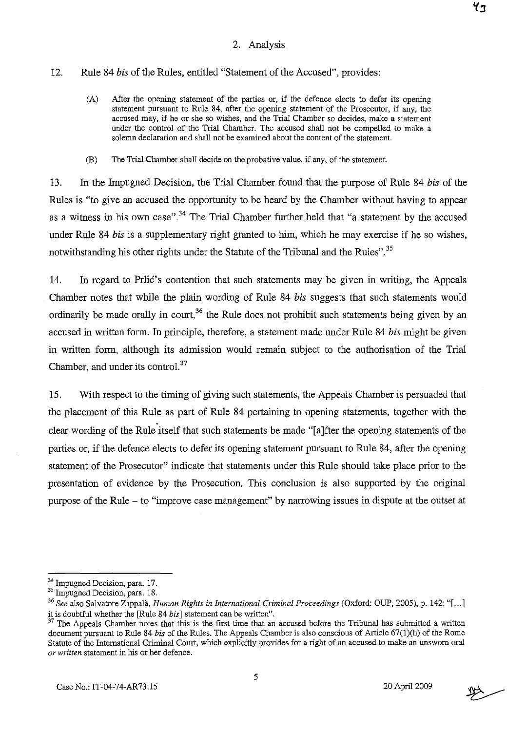#### 2. Analysis

### 12. Rule 84 *bis* of the Rules, entitled "Statement of the Accused", provides:

- (A) After the opening statement of the parties or, if the defence elects to defer its opening statement pursuant to Rule 84, after the opening statement of the Prosecutor, if any, the accused may, if he or she so wishes, and the Trial Chamber so decides, make a statement under the control of the Trial Chamber. The accused shall not be compelled to make a solemn declaration and shall not be examined about the content of the statement.
- (B) The Trial Chamber shall decide on the probative value, if any, of the statement.

13. In the Impugned Decision, the Trial Chamber found that the purpose of Rule 84 *bis* of the Rules is "to give an accused the opportunity to be heard by the Chamber without having to appear as a witness in his own case".<sup>34</sup> The Trial Chamber further held that "a statement by the accused under Rule 84 *bis* is a supplementary right granted to him, which he may exercise if he so wishes, notwithstanding his other rights under the Statute of the Tribunal and the Rules".<sup>35</sup>

14. In regard to Prlic's contention that such statements may be given in writing, the Appeals Chamber notes that while the plain wording of Rule 84 *bis* suggests that such statements would ordinarily be made orally in court,<sup>36</sup> the Rule does not prohibit such statements being given by an accused in written form. In principle, therefore, a statement made under Rule 84 *bis* might be given in written form, although its admission would remain subject to the authorisation of the Trial Chamber, and under its control.<sup>37</sup>

15. With respect to the timing of giving such statements, the Appeals Chamber is persuaded that the placement of this Rule as part of Rule 84 pertaining to opening statements, together with the clear wording of the Rule itself that such statements be made "[a]fter the opening statements of the parties or, if the defence elects to defer its opening statement pursuant to Rule 84, after the opening statement of the Prosecutor" indicate that statements under this Rule should take place prior to the presentation of evidence by the Prosecution. This conclusion is also supported by the original purpose of the Rule - to "improve case management" by narrowing issues in dispute at the outset at

<sup>&</sup>lt;sup>34</sup> Impugned Decision, para. 17.

<sup>&</sup>lt;sup>35</sup> Impugned Decision, para. 18.

<sup>36</sup>*See* also Salvatore Zappala, *Human Rights in International Criminal Proceedings* (Oxford: OUP, 2005), p. 142: "[ ... ] it is doubtful whether the [Ru1e 84 *his]* statement can be written".

 $37$  The Appeals Chamber notes that this is the first time that an accused before the Tribunal has submitted a written document pursuant to Rule 84 *his* of the Rules. The Appeals Chamber is also conscious of Article 67(1)(h) of the Rome Statute of the International Criminal Court, which explicitly provides for a right of an accused to make an unsworn oral *or written* **statement in his or her defence.**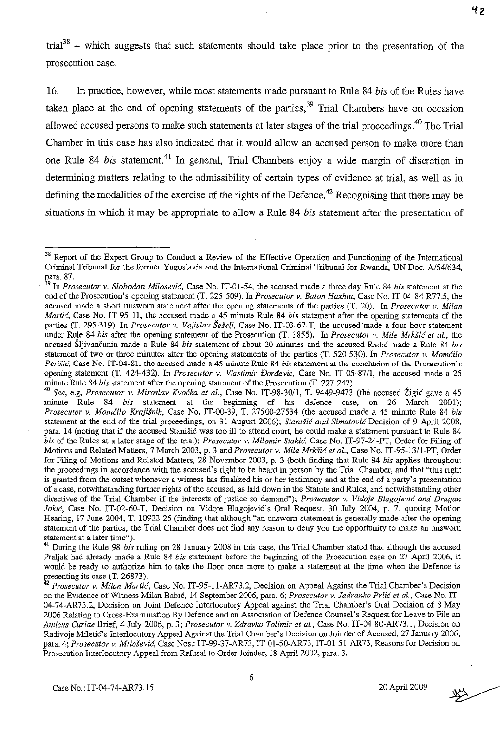trial<sup>38</sup> - which suggests that such statements should take place prior to the presentation of the prosecution case.

16. In practice, however, while most statements made pursuant to Rule 84 *his* of the Rules have taken place at the end of opening statements of the parties,<sup>39</sup> Trial Chambers have on occasion allowed accused persons to make such statements at later stages of the trial proceedings.<sup>40</sup> The Trial Chamber in this case has also indicated that it would allow an accused person to make more than one Rule 84 *bis* statement.<sup>41</sup> In general, Trial Chambers enjoy a wide margin of discretion in determining matters relating to the admissibility of certain types of evidence at trial, as well as in defining the modalities of the exercise of the rights of the Defence.<sup>42</sup> Recognising that there may be si tuations in which it may be appropriate to allow a Rule 84 *his* statement after the presentation of

<sup>&</sup>lt;sup>38</sup> Report of the Expert Group to Conduct a Review of the Effective Operation and Functioning of the International Criminal Tribunal for the former Yugoslavia and the International Criminal Tribunal for Rwanda, UN Doc. A/54/634, ~ara. 87.

<sup>9</sup> In *Prosecutor v. Siobodan Milosevie,* Case No. IT-01-54, the accused made a three day Rule 84 *bis* statement at the end of the Prosecution's opening statement (T. 225-509). In *Prosecutor v. Baton Haxhiu,* Case No. IT-04-84-R77.5, the accused made a short unsworn statement after the opening statements of the parties (T. 20). In *Prosecutor v. Milan Martić*, Case No. IT-95-11, the accused made a 45 minute Rule 84 *bis* statement after the opening statements of the parties (T. 295-319). In *Prosecutor v. Vojislav Šešelj*, Case No. IT-03-67-T, the accused made a four hour statement under Rule 84 *bis* after the opening statement of the Prosecution (T. 1855). In Prosecutor v. Mile Mrkšić et al., the accused Sljivancanin made a Rule 84 *bis* statement of about 20 minutes and the accused Radie made a Rille 84 *bis*  statement of two or three minutes after the opening statements of the parties (T. 520-530). In *Prosecutor v. Momčilo Perish;,* **Case No. IT-04-81, the accused made a 45 minute Rule 84** *bis* **statement at the conclusion of the Prosecution's**  opening statement (T. 424-432). In *Prosecutor v. Vlastimir Đorđevic*, Case No. IT-05-87/1, the accused made a 25 minute Rule 84 *bis* statement after the opening statement of the Prosecution (T. 227-242).

*<sup>40</sup> See,* e.g, *Prosecutor v. Miroslav Kvocka et aI.,* Case No. IT-98-30/1, T. 9449-9473 (the accused Zigic gave a 45 minute Rule 84 *bis* statement at the beginning of his defence case, On 26 March 2001); *Prosecutor v. Momcilo Krajisnik,* Case No. IT-00-39, T. 27500-27534 (the accused made a 45 minute Rule 84 *bis*  statement at the end of the trial proceedings, on 31 August 2006); *Stanisie and Simatovic* Decision of 9 April 2008, para. 14 (noting that if the accused Stanišic was too ill to attend court, he could make a statement pursuant to Rule 84 *bis* of the Rules at a later stage of the trial); *Prosecutor v. Milomir Stakie,* Case No. IT-97-24-PT, Order for Filing of Motions and Related Matters, 7 March 2003, p. 3 and *Prosecutor v. Mile MrkSie et 01.,* Case No. IT-95-13/1-PT, Order for Filing of Motions and Related Matters, 28 November 2003, p. 3 (both finding that Rule 84 *bis* applies throughout the proceedings in accordance with the accused's right to be heard in person by the Trial Chamber, and that "this right is granted from the outset whenever a witness has finalized his or her testimony and at the end of a party's presentation of a case, notwithstanding further rights of the accused, as laid down in the Statute and Rilles, and notwithstanding other directives of the Trial Chamber if the interests of justice so demand"); *Prosecutor v. Vidoje Blagojević and Dragan* Jokić, Case No. IT-02-60-T, Decision on Vidoje Blagojević's Oral Request, 30 July 2004, p. 7, quoting Motion Hearing, 17 June 2004, T. 10922-25 (finding that although "an unsworn statement is generally made after the opening statement of the parties, the Trial Chamber does not find any reason to deny you the opportunity to make an unsworn statement at a later time").

<sup>41</sup> During the Rule 98 *bis* ruling on 28 January 2008 in this case, the Trial Chamber stated that although the accused Praljak had already made a Rille 84 *bis* statement before the beginning of the Prosecution case on 27 April 2006, it woilld be ready to authorize him to take the floor once more to make a statement at the time when the Defence is presenting its case  $(T. 26873)$ .

<sup>2</sup>*Prosecutor v. Milan Martie,* Case No. IT-95-11-AR73.2, Decision on Appeal Against the Trial Chamber's Decision on the Evidence of Witness Milan Babic, 14 September 2006, para. 6; *Prosecutor v. Jadranko Prlic et 01.,* Case No. IT-04-74-AR73.2, Decision on Joint Defence Interlocutory Appeal against the Trial Chamber's Oral Decision of 8 May 2006 Relating to Cross-Examination By Defence and on Association of Defence Counsel's Request for Leave to File an *Amicus Curiae* Brief, 4 July 2006, p. 3; *Prosecutor v. Zdravko Tolimir et 01.,* Case No. IT-04-80-AR73.1, Decision on Radivoje Miletic's Interlocutory Appeal Against the Trial Chamber's Decision on Joinder of Accused, 27 January 2006, para. 4; *Prosecutor v. Milošević*, Case Nos.: IT-99-37-AR73, IT-01-50-AR73, IT-01-51-AR73, Reasons for Decision on Prosecution Interlocutory Appeal from Refusal to Order Joinder, 18 April 2002, para. 3.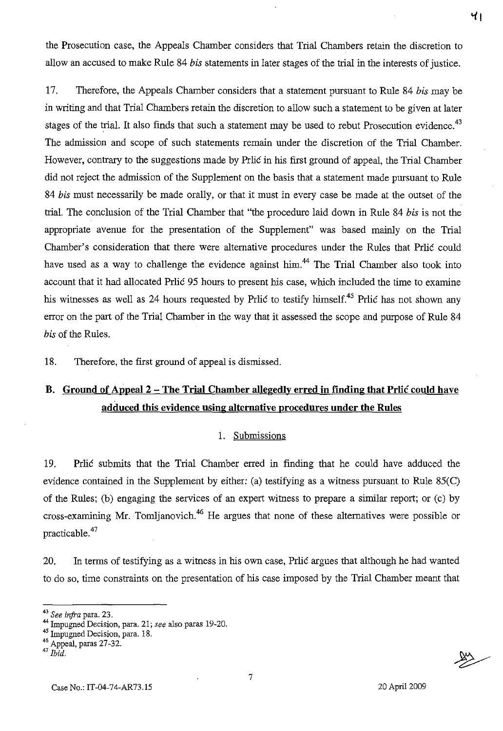the Prosecution case, the Appeals Chamber considers that Trial Chambers retain the discretion to allow an accused to make Rule 84 *bis* statements in later stages of the trial in the interests of justice.

17. Therefore, the Appeals Chamber considers that a statement pursuant to Rule 84 *bis* may be in writing and that Trial Chambers retain the discretion to allow such a statement to be given at later stages of the trial. It also finds that such a statement may be used to rebut Prosecution evidence.<sup>43</sup> The admission and scope of such statements remain under the discretion of the Trial Chamber. However, contrary to the suggestions made by PrIic in his first ground of appeal, the Trial Chamber did not reject the admission of the Supplement on the basis that a statement made pursuant to Rule *84 bis* must necessarily be made orally, or that it must in every case be made at the outset of the trial. The conclusion of the Trial Chamber that "the procedure laid down in Rule 84 *bis* is not the appropriate avenue for the presentation of the Supplement" was based mainly on the Trial Chamber's consideration that there were alternative procedures under the Rules that PrIić could have used as a way to challenge the evidence against him.<sup>44</sup> The Trial Chamber also took into account that it had allocated Prlic 95 hours to present his case, which included the time to examine his witnesses as well as 24 hours requested by PrIic to testify himself.<sup>45</sup> PrIic has not shown any error on the part of the Trial Chamber in the way that it assessed the scope and purpose of Rule 84 *bis* of the Rules.

18. Therefore, the first ground of appeal is dismissed.

# **B.** Ground of Appeal 2 – The Trial Chamber allegedly erred in finding that Prlic could have **adduced this evidence using alternative procedures under the Rules**

#### 1. Submissions

19. Prlic submits that the Trial Chamber erred in finding that he could have adduced the evidence contained in the Supplement by either: (a) testifying as a witness pursuant to Rule 85(C) of the Rules; (b) engaging the services of an expert witness to prepare a similar report; or (c) by cross-examining Mr. Tomljanovich.<sup>46</sup> He argues that none of these alternatives were possible or practicable. $47$ 

20. In terms of testifying as a witness in his own case, PrIic argues that although he had wanted to do so, time constraints on the presentation of his case imposed by the Trial Chamber meant that



≫

*<sup>43</sup> See infra* para. 23.

<sup>44</sup> Impugned Decision, para. 21; *see* also paras 19-20.

<sup>45</sup> Impugned Decision, para. 18.

 $^{46}$  Appeal, paras 27-32.

*<sup>47</sup> Ibid.*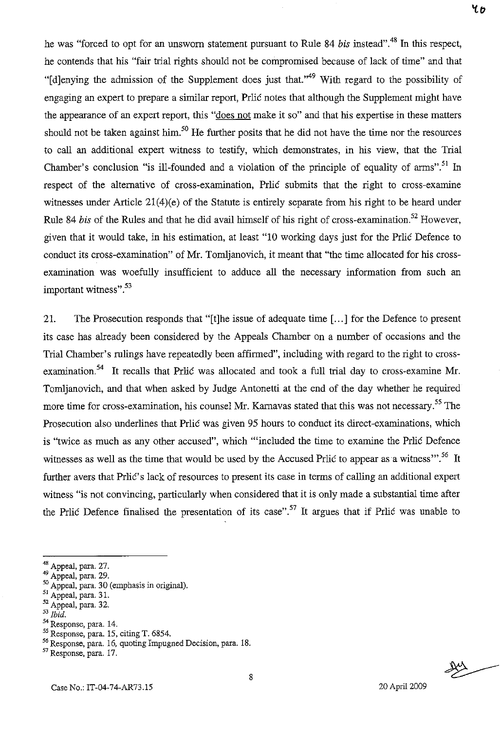he was "forced to opt for an unsworn statement pursuant to Rule 84 *his* instead". 48 In this respect, he contends that his "fair trial rights should not be compromised because of lack of time" and that "[d]enying the admission of the Supplement does just that."<sup>49</sup> With regard to the possibility of engaging an expert to prepare a similar report, Prlic notes that although the Supplement might have the appearance of an expert report, this "does not make it so" and that his expertise in these matters should not be taken against him.<sup>50</sup> He further posits that he did not have the time nor the resources to call an additional expert witness to testify, which demonstrates, in his view, that the Trial Chamber's conclusion "is ill-founded and a violation of the principle of equality of arms".<sup>51</sup> In respect of the alternative of cross-examination, Prlic submits that the right to cross-examine witnesses under Article 21(4)(e) of the Statute is entirely separate from his right to be heard under Rule 84 *bis* of the Rules and that he did avail himself of his right of cross-examination.<sup>52</sup> However, given that it would take, in his estimation, at least "10 working days just for the Prlic Defence to conduct its cross-examination" of Mr. Tomljanovich, it meant that "the time allocated for his crossexamination was woefully insufficient to adduce all the necessary information from such an important witness".<sup>53</sup>

21. The Prosecution responds that "[t]he issue of adequate time [...] for the Defence to present its case has already been considered by the Appeals Chamber on a number of occasions and the Trial Chamber's rulings have repeatedly been affirmed", including with regard to the right to crossexamination.<sup>54</sup> It recalls that Prlic was allocated and took a full trial day to cross-examine Mr. Tomljanovich, and that when asked by Judge Antonetti at the end of the day whether he required more time for cross-examination, his counsel Mr. Karnavas stated that this was not necessary.<sup>55</sup> The Prosecution also underlines that Prlic was given 95 hours to conduct its direct-examinations, which is "twice as much as any other accused", which '''included the time to examine the Prlic Defence witnesses as well as the time that would be used by the Accused Prlic to appear as a witness".<sup>56</sup> It further avers that Prlic's lack of resources to present its case in terms of calling an additional expert witness "is not convincing, particularly when considered that it is only made a substantial time after the Prlic Defence finalised the presentation of its case". 57 **It** argues that if Prlic was unable to

 $55$  Response, para. 15, citing T. 6854.

Y0

<sup>&</sup>lt;sup>48</sup> Appeal, para. 27.

<sup>&</sup>lt;sup>49</sup> Appeal, para. 29.

<sup>50</sup> Appeal, para. 30 (emphasis in original).

 $\sum_{n=1}^{51}$  Appeal, para. 31.

 $52$  Appeal, para. 32.

<sup>53</sup>*Ibid.* 

<sup>54</sup> Response, para. 14.

<sup>&</sup>lt;sup>56</sup> Response, para. 16, quoting Impugned Decision, para. 18.

<sup>&</sup>lt;sup>57</sup> Response, para. 17.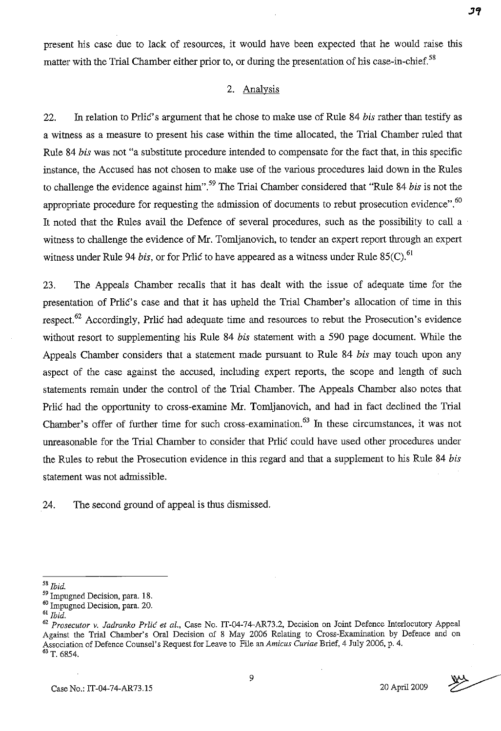present his case due to lack of resources, it would have been expected that he would raise this matter with the Trial Chamber either prior to, or during the presentation of his case-in-chief.<sup>58</sup>

## 2. Analysis

22. In relation to Prlic's argument that he chose to make use of Rule 84 *bis* rather than testify as a witness as a measure to present his case within the time allocated, the Trial Chamber ruled that Rule 84 *bis* was not "a substitute procedure intended to compensate for the fact that, in this specific instance, the Accused has not chosen to make use of the various procedures laid down in the Rules to challenge the evidence against him". 59 The Trial Chamber considered that "Rule 84 *bis* is not the appropriate procedure for requesting the admission of documents to rebut prosecution evidence".<sup>60</sup> It noted that the Rules avail the Defence of several procedures, such as the possibility to call a witness to challenge the evidence of Mr. Tomljanovich, to tender an expert report through an expert witness under Rule 94 *bis*, or for Prlic to have appeared as a witness under Rule 85(C).<sup>61</sup>

23. The Appeals Chamber recalls that it has dealt with the issue of adequate time for the presentation of Prlic's case and that it has upheld the Trial Chamber's allocation of time in this respect.<sup>62</sup> Accordingly, Prlic had adequate time and resources to rebut the Prosecution's evidence without resort to supplementing his Rule 84 *bis* statement with a 590 page document. While the Appeals Chamber considers that a statement made pursuant to Rule 84 *bis* may touch upon any aspect of the case against the accused, including expert reports, the scope and length of such statements remain under the control of the Trial Chamber. The Appeals Chamber also notes that Prlic had the opportunity to cross-examine Mr. Tomljanovich, and had in fact declined the Trial Chamber's offer of further time for such cross-examination.<sup>63</sup> In these circumstances, it was not unreasonable for the Trial Chamber to consider that Prlie could have used other procedures under the Rules to rebut the Prosecution evidence in this regard and that a supplement to his Rule 84 *bis*  statement was not admissible.

24. The second ground of appeal is thus dismissed.

*<sup>58</sup> Ibid.* 

<sup>59</sup> Impugned Decision, para. 18.

<sup>&</sup>lt;sup>60</sup> Impugned Decision, para. 20.

<sup>61</sup>*Ibid.* 

<sup>&</sup>lt;sup>62</sup> Prosecutor v. Jadranko Prlić et al., Case No. IT-04-74-AR73.2, Decision on Joint Defence Interlocutory Appeal Against the Trial Chamber's Oral Decision of 8 May 2006 Relating to Cross-Examination by Defence and on Association of Defence Counsel's Request for Leave to File an *Amicus Curiae* Brief, 4 July 2006, p. 4.  $63$  T. 6854.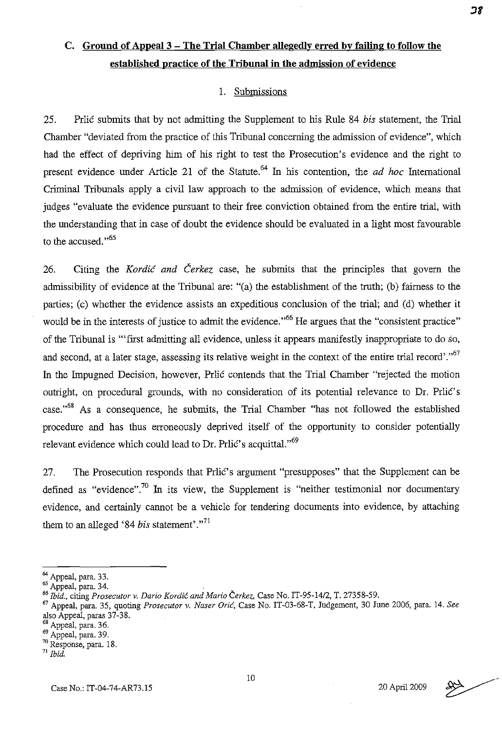# **C. Ground of Appeal 3 - The Trial Chamber allegedly erred by failing to follow the established practice of the Tribunal in the admission of evidence**

## 1. Submissions

25. Prlic submits that by not admitting the Supplement to his Rule 84 *his* statement, the Trial Chamber "deviated from the practice of this Tribunal concerning the admission of evidence", which had the effect of depriving him of his right to test the Prosecution's evidence and the right to present evidence under Article 21 of the Statute.<sup>64</sup> In his contention, the *ad hoc* International Criminal Tribunals apply a civil law approach to the admission of evidence, which means that judges "evaluate the evidence pursuant to their free conviction obtained from the entire trial, with the understanding that in case of doubt the evidence should be evaluated in a light most favourable to the accused."<sup>65</sup>

26. Citing the *Kordic and Cerkez* case, he submits that the principles that govern the admissibility of evidence at the Tribunal are: "(a) the establishment of the truth; (b) fairness to the parties; (c) whether the evidence assists an expeditious conclusion of the trial; and (d) whether it would be in the interests of justice to admit the evidence."<sup>66</sup> He argues that the "consistent practice" of the Tribunal is '''first admitting all evidence, unless it appears manifestly inappropriate to do so, and second, at a later stage, assessing its relative weight in the context of the entire trial record'."<sup>67</sup> In the Impugned Decision, however, Prlic contends that the Trial Chamber "rejected the motion outright, on procedural grounds, with no consideration of its potential relevance to Dr. PrliC's case.<sup> $.68$ </sup> As a consequence, he submits, the Trial Chamber "has not followed the established procedure and has thus erroneously deprived itself of the opportunity to consider potentially relevant evidence which could lead to Dr. Prlic's acquittal."<sup>69</sup>

27. The Prosecution responds that Prlic's argument "presupposes" that the Supplement can be defined as "evidence".<sup>70</sup> In its view, the Supplement is "neither testimonial nor documentary evidence, and certainly cannot be a vehicle for tendering documents into evidence, by attaching them to an alleged '84 *bis* statement'."<sup>71</sup>

<sup>&</sup>lt;sup>64</sup> Appeal, para. 33.

<sup>65</sup> Appeal, para. 34.

<sup>66</sup>*Ibid.,* citing *Prosecutor v. Dario Kordic and Mario Cerkez.* Case No. *IT-95-14/2,* T. 27358-59.

<sup>67</sup> Appeal, para. 35, quoting *Prosecutor v. Naser Oric,* Case No. IT-03-68-T, Judgement, 30 June 2006, para. 14. *See*  also Appeal, paras 37-38.

<sup>&</sup>lt;sup>68</sup> Appeal, para. 36.

<sup>69</sup>Appeal, para. 39.

<sup>70</sup> Response, para. 18.

<sup>71</sup>*Ibid.*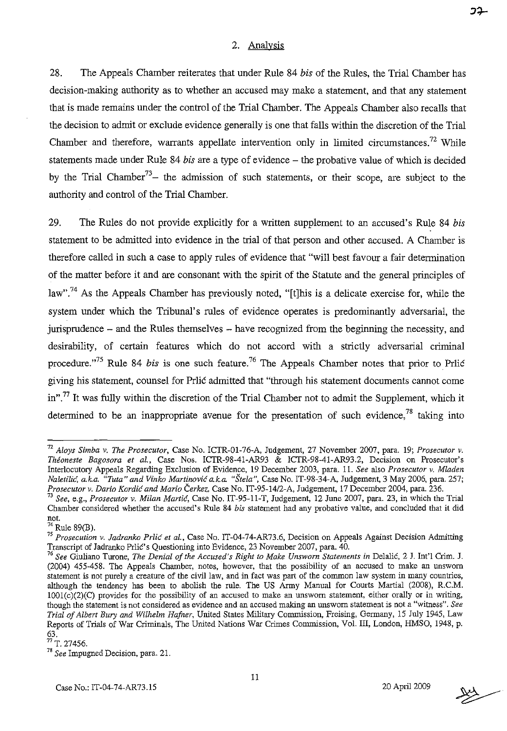### 2. Analysis

28. The Appeals Chamber reiterates that under Rule 84 *bis* of the Rules, the Trial Chamber has decision-making authority as to whether an accused may make a statement, and that any statement that is made remains under the control of the Trial Chamber. The Appeals Chamber also recalls that the decision to admit or exclude evidence generally is one that falls within the discretion of the Trial Chamber and therefore, warrants appellate intervention only in limited circumstances.<sup>72</sup> While statements made under Rule 84 *bis* are a type of evidence – the probative value of which is decided by the Trial Chamber<sup>73</sup> - the admission of such statements, or their scope, are subject to the authority and control of the Trial Chamber.

29. The Rules do not provide explicitly for a written supplement to an accused's Rule 84 *bis*  statement to be admitted into evidence in the trial of that person and other accused. A Chamber is therefore called in such a case to apply rules of evidence that "will best favour a fair determination of the matter before it and are consonant with the spirit of the Statute and the general principles of law".<sup>74</sup> As the Appeals Chamber has previously noted, "[t]his is a delicate exercise for, while the system under which the Tribunal's rules of evidence operates is predominantly adversarial, the jurisprudence - and the Rules themselves - have recognized from the beginning the necessity, and desirability, of certain features which do not accord with a strictly adversarial criminal procedure."<sup>75</sup> Rule 84 *bis* is one such feature.<sup>76</sup> The Appeals Chamber notes that prior to Prlić giving his statement, counsel for Prlie admitted that "through his statement documents cannot come  $in$ <sup>77</sup> It was fully within the discretion of the Trial Chamber not to admit the Supplement, which it determined to be an inappropriate avenue for the presentation of such evidence,<sup>78</sup> taking into

n *Aloys Simba v. The Prosecutor,* Case No. ICTR-0l-76-A, Judgement, 27 November 2007, para. 19; *Prosecutor v. Theoneste Bagosora et al.,* Case Nos. ICTR-98-41-AR93 & ICTR-98-41-AR93.2, Decision on Prosecutor's Interlocutory Appeals Regarding Exclusion of Evidence, 19 December 2003, para. 11. *See* also *Prosecutor v. Mladen Naletilić, a.k.a. "Tuta" and Vinko Martinović a.k.a. "Štela", Case No. IT-98-34-A, Judgement, 3 May 2006, para. 257; Prosecutor v. Dario Kordie and Mario Cerkez,* Case No. *IT-95-14/2-A,* Judgement, 17 December 2004, para. 236.

<sup>73</sup>*See,* e.g., *Prosecutor v. Milan Martie,* Case No. IT-95-11-T, Judgement, 12 June 2007, para. 23, in which the Trial Chamber considered whether the accused's Rule 84 *bis* statement had any probative value, and concluded that it did not.

 $4$  Rule 89(B).

<sup>&</sup>lt;sup>75</sup> Prosecution v. Jadranko Prlić et al., Case No. IT-04-74-AR73.6, Decision on Appeals Against Decision Admitting Transcript of Jadranko PrJiC's Questioning into Evidence, 23 November 2007, para. 40.

<sup>76</sup>*See* Giuliano Turone, *The Denial of the Accused's Right to Make Unsworn Statements in* Delalic, 2 J. Int'! Crim. J. (2004) 455-458. The Appeals Chamber, notes, however, that the possibility of an accused to make an unsworn **statement is not purely a creature of the** civil law, **and in fact was part of the common law system in many countries,**  although the tendency has been to abolish the rule. The US Army Manual for Courts Martial (2008), R.C.M. 1001(c)(2)(C) provides for the possibility of an accused to make an unsworn statement, either orally or in writing, **though the statement is not considered as evidence and an accused making an unsworn statement is not a "witness".** *See Trial of Albert Bury and Wilhelm Hafner,* United States Military Commission, Freising, Gennany, 15 July 1945, Law Reports of Trials of War Criminals, The United Nations War Crimes Commission, Vol. IIJ, London, HMSO, 1948, p. 63.

 $^{77}$  T. 27456.

<sup>78</sup>*See* Impugned Decision, para. 21.